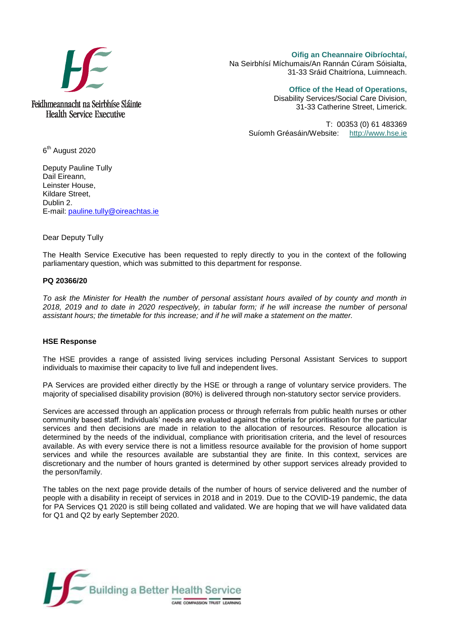

**Oifig an Cheannaire Oibríochtaí,**  Na Seirbhísí Míchumais/An Rannán Cúram Sóisialta, 31-33 Sráid Chaitríona, Luimneach.

**Office of the Head of Operations,** 

Disability Services/Social Care Division, 31-33 Catherine Street, Limerick.

T: 00353 (0) 61 483369 Suíomh Gréasáin/Website: [http://www.hse.ie](http://www.hse.ie/)

6<sup>th</sup> August 2020

Deputy Pauline Tully Dail Eireann, Leinster House, Kildare Street, Dublin 2. E-mail: [pauline.tully@oireachtas.ie](mailto:pauline.tully@oireachtas.ie)

Dear Deputy Tully

The Health Service Executive has been requested to reply directly to you in the context of the following parliamentary question, which was submitted to this department for response.

## **PQ 20366/20**

*To ask the Minister for Health the number of personal assistant hours availed of by county and month in 2018, 2019 and to date in 2020 respectively, in tabular form; if he will increase the number of personal assistant hours; the timetable for this increase; and if he will make a statement on the matter.*

#### **HSE Response**

The HSE provides a range of assisted living services including Personal Assistant Services to support individuals to maximise their capacity to live full and independent lives.

PA Services are provided either directly by the HSE or through a range of voluntary service providers. The majority of specialised disability provision (80%) is delivered through non-statutory sector service providers.

Services are accessed through an application process or through referrals from public health nurses or other community based staff. Individuals' needs are evaluated against the criteria for prioritisation for the particular services and then decisions are made in relation to the allocation of resources. Resource allocation is determined by the needs of the individual, compliance with prioritisation criteria, and the level of resources available. As with every service there is not a limitless resource available for the provision of home support services and while the resources available are substantial they are finite. In this context, services are discretionary and the number of hours granted is determined by other support services already provided to the person/family.

The tables on the next page provide details of the number of hours of service delivered and the number of people with a disability in receipt of services in 2018 and in 2019. Due to the COVID-19 pandemic, the data for PA Services Q1 2020 is still being collated and validated. We are hoping that we will have validated data for Q1 and Q2 by early September 2020.

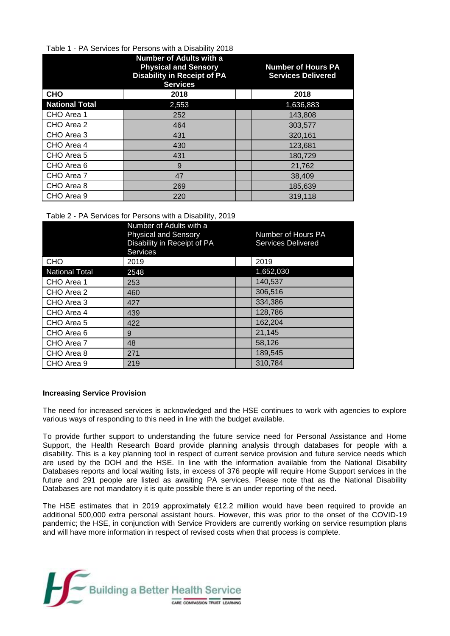## Table 1 - PA Services for Persons with a Disability 2018

|                       | <b>Number of Adults with a</b><br><b>Physical and Sensory</b><br><b>Disability in Receipt of PA</b><br><b>Services</b> | <b>Number of Hours PA</b><br><b>Services Delivered</b> |
|-----------------------|------------------------------------------------------------------------------------------------------------------------|--------------------------------------------------------|
| <b>CHO</b>            | 2018                                                                                                                   | 2018                                                   |
| <b>National Total</b> | 2,553                                                                                                                  | 1,636,883                                              |
| CHO Area 1            | 252                                                                                                                    | 143,808                                                |
| CHO Area 2            | 464                                                                                                                    | 303,577                                                |
| CHO Area 3            | 431                                                                                                                    | 320,161                                                |
| CHO Area 4            | 430                                                                                                                    | 123,681                                                |
| CHO Area 5            | 431                                                                                                                    | 180,729                                                |
| CHO Area 6            | 9                                                                                                                      | 21,762                                                 |
| CHO Area 7            | 47                                                                                                                     | 38,409                                                 |
| CHO Area 8            | 269                                                                                                                    | 185,639                                                |
| CHO Area 9            | 220                                                                                                                    | 319,118                                                |

## Table 2 - PA Services for Persons with a Disability, 2019

|                       | Number of Adults with a<br><b>Physical and Sensory</b><br>Disability in Receipt of PA<br><b>Services</b> | Number of Hours PA<br><b>Services Delivered</b> |
|-----------------------|----------------------------------------------------------------------------------------------------------|-------------------------------------------------|
| <b>CHO</b>            | 2019                                                                                                     | 2019                                            |
| <b>National Total</b> | 2548                                                                                                     | 1,652,030                                       |
| CHO Area 1            | 253                                                                                                      | 140,537                                         |
| CHO Area 2            | 460                                                                                                      | 306,516                                         |
| CHO Area 3            | 427                                                                                                      | 334.386                                         |
| CHO Area 4            | 439                                                                                                      | 128,786                                         |
| CHO Area 5            | 422                                                                                                      | 162,204                                         |
| CHO Area 6            | 9                                                                                                        | 21,145                                          |
| CHO Area 7            | 48                                                                                                       | 58,126                                          |
| CHO Area 8            | 271                                                                                                      | 189,545                                         |
| CHO Area 9            | 219                                                                                                      | 310,784                                         |

# **Increasing Service Provision**

The need for increased services is acknowledged and the HSE continues to work with agencies to explore various ways of responding to this need in line with the budget available.

To provide further support to understanding the future service need for Personal Assistance and Home Support, the Health Research Board provide planning analysis through databases for people with a disability. This is a key planning tool in respect of current service provision and future service needs which are used by the DOH and the HSE. In line with the information available from the National Disability Databases reports and local waiting lists, in excess of 376 people will require Home Support services in the future and 291 people are listed as awaiting PA services. Please note that as the National Disability Databases are not mandatory it is quite possible there is an under reporting of the need.

The HSE estimates that in 2019 approximately €12.2 million would have been required to provide an additional 500,000 extra personal assistant hours. However, this was prior to the onset of the COVID-19 pandemic; the HSE, in conjunction with Service Providers are currently working on service resumption plans and will have more information in respect of revised costs when that process is complete.